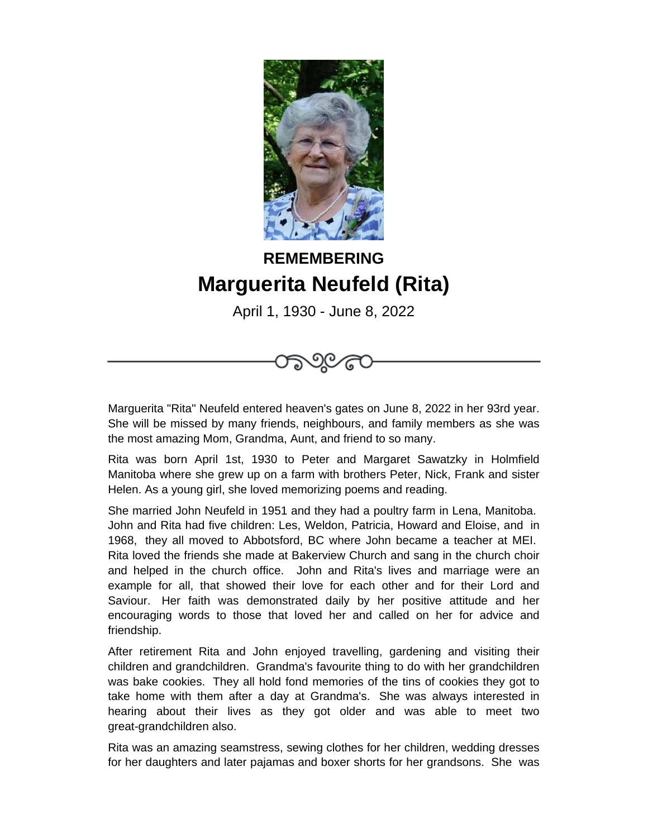

## **REMEMBERING Marguerita Neufeld (Rita)**

April 1, 1930 - June 8, 2022



Marguerita "Rita" Neufeld entered heaven's gates on June 8, 2022 in her 93rd year. She will be missed by many friends, neighbours, and family members as she was the most amazing Mom, Grandma, Aunt, and friend to so many.

Rita was born April 1st, 1930 to Peter and Margaret Sawatzky in Holmfield Manitoba where she grew up on a farm with brothers Peter, Nick, Frank and sister Helen. As a young girl, she loved memorizing poems and reading.

She married John Neufeld in 1951 and they had a poultry farm in Lena, Manitoba. John and Rita had five children: Les, Weldon, Patricia, Howard and Eloise, and in 1968, they all moved to Abbotsford, BC where John became a teacher at MEI. Rita loved the friends she made at Bakerview Church and sang in the church choir and helped in the church office. John and Rita's lives and marriage were an example for all, that showed their love for each other and for their Lord and Saviour. Her faith was demonstrated daily by her positive attitude and her encouraging words to those that loved her and called on her for advice and friendship.

After retirement Rita and John enjoyed travelling, gardening and visiting their children and grandchildren. Grandma's favourite thing to do with her grandchildren was bake cookies. They all hold fond memories of the tins of cookies they got to take home with them after a day at Grandma's. She was always interested in hearing about their lives as they got older and was able to meet two great-grandchildren also.

Rita was an amazing seamstress, sewing clothes for her children, wedding dresses for her daughters and later pajamas and boxer shorts for her grandsons. She was